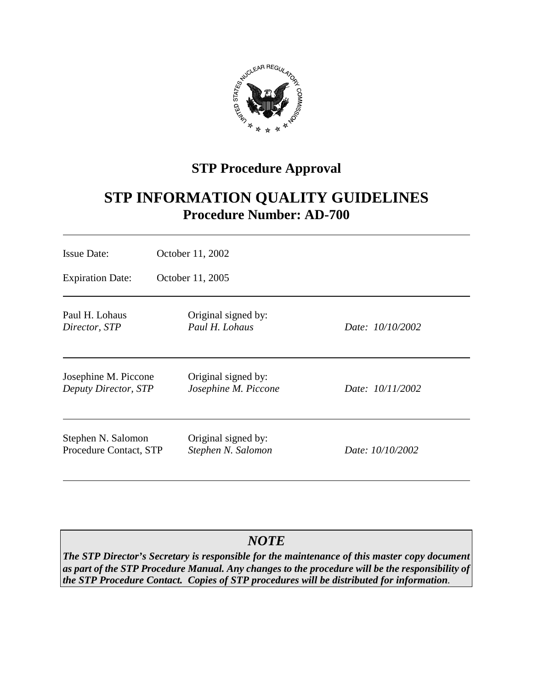

## **STP Procedure Approval**

# **STP INFORMATION QUALITY GUIDELINES Procedure Number: AD-700**

| <b>Issue Date:</b>                                  | October 11, 2002                            |                  |
|-----------------------------------------------------|---------------------------------------------|------------------|
| <b>Expiration Date:</b>                             | October 11, 2005                            |                  |
| Paul H. Lohaus<br>Director, STP                     | Original signed by:<br>Paul H. Lohaus       | Date: 10/10/2002 |
| Josephine M. Piccone<br><b>Deputy Director, STP</b> | Original signed by:<br>Josephine M. Piccone | Date: 10/11/2002 |
| Stephen N. Salomon<br>Procedure Contact, STP        | Original signed by:<br>Stephen N. Salomon   | Date: 10/10/2002 |

### *NOTE*

*The STP Director's Secretary is responsible for the maintenance of this master copy document as part of the STP Procedure Manual. Any changes to the procedure will be the responsibility of the STP Procedure Contact. Copies of STP procedures will be distributed for information.*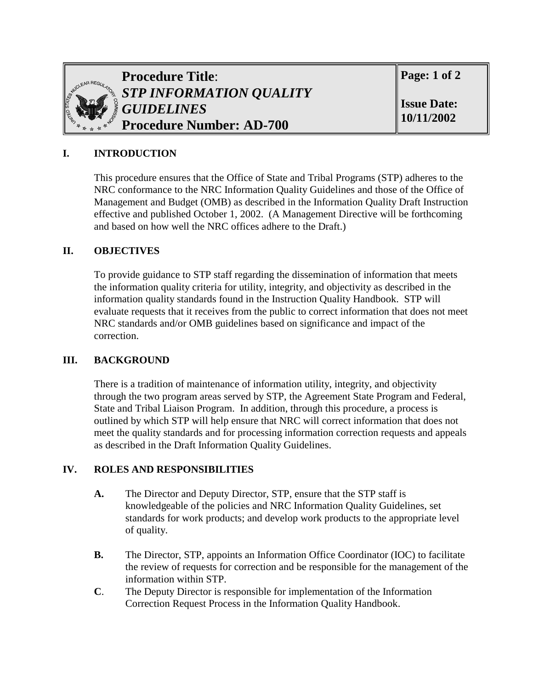

**Procedure Title**: *STP INFORMATION QUALITY GUIDELINES* **Procedure Number: AD-700**

**Page: 1 of 2** 

**Issue Date: 10/11/2002**

#### **I. INTRODUCTION**

This procedure ensures that the Office of State and Tribal Programs (STP) adheres to the NRC conformance to the NRC Information Quality Guidelines and those of the Office of Management and Budget (OMB) as described in the Information Quality Draft Instruction effective and published October 1, 2002. (A Management Directive will be forthcoming and based on how well the NRC offices adhere to the Draft.)

#### **II. OBJECTIVES**

To provide guidance to STP staff regarding the dissemination of information that meets the information quality criteria for utility, integrity, and objectivity as described in the information quality standards found in the Instruction Quality Handbook. STP will evaluate requests that it receives from the public to correct information that does not meet NRC standards and/or OMB guidelines based on significance and impact of the correction.

#### **III. BACKGROUND**

There is a tradition of maintenance of information utility, integrity, and objectivity through the two program areas served by STP, the Agreement State Program and Federal, State and Tribal Liaison Program. In addition, through this procedure, a process is outlined by which STP will help ensure that NRC will correct information that does not meet the quality standards and for processing information correction requests and appeals as described in the Draft Information Quality Guidelines.

#### **IV. ROLES AND RESPONSIBILITIES**

- **A.** The Director and Deputy Director, STP, ensure that the STP staff is knowledgeable of the policies and NRC Information Quality Guidelines, set standards for work products; and develop work products to the appropriate level of quality.
- **B.** The Director, STP, appoints an Information Office Coordinator (IOC) to facilitate the review of requests for correction and be responsible for the management of the information within STP.
- **C**. The Deputy Director is responsible for implementation of the Information Correction Request Process in the Information Quality Handbook.